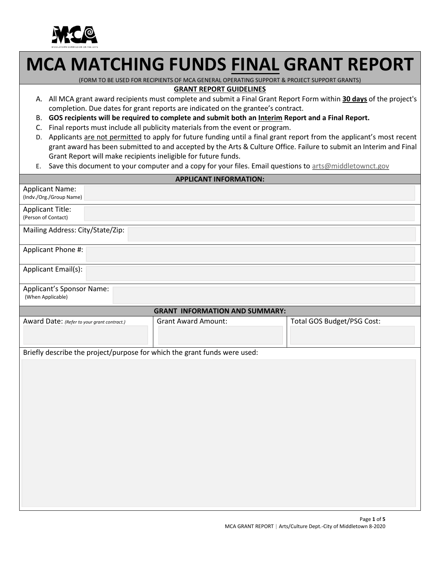

# **MCA MATCHING FUNDS FINAL GRANT REPORT**

(FORM TO BE USED FOR RECIPIENTS OF MCA GENERAL OPERATING SUPPORT & PROJECT SUPPORT GRANTS)

#### **GRANT REPORT GUIDELINES**

- A. All MCA grant award recipients must complete and submit a Final Grant Report Form within **30 days** of the project's completion. Due dates for grant reports are indicated on the grantee's contract.
- B. **GOS recipients will be required to complete and submit both an Interim Report and a Final Report.**
- C. Final reports must include all publicity materials from the event or program.
- D. Applicants are not permitted to apply for future funding until a final grant report from the applicant's most recent grant award has been submitted to and accepted by the Arts & Culture Office. Failure to submit an Interim and Final Grant Report will make recipients ineligible for future funds.
- E. Save this document to your computer and a copy for your files. Email questions to arts@middletownct.gov

| <b>APPLICANT INFORMATION:</b>                                             |                            |  |  |  |
|---------------------------------------------------------------------------|----------------------------|--|--|--|
| <b>Applicant Name:</b><br>(Indv./Org./Group Name)                         |                            |  |  |  |
| <b>Applicant Title:</b><br>(Person of Contact)                            |                            |  |  |  |
| Mailing Address: City/State/Zip:                                          |                            |  |  |  |
| Applicant Phone #:                                                        |                            |  |  |  |
| Applicant Email(s):                                                       |                            |  |  |  |
| Applicant's Sponsor Name:<br>(When Applicable)                            |                            |  |  |  |
| <b>GRANT INFORMATION AND SUMMARY:</b>                                     |                            |  |  |  |
| <b>Grant Award Amount:</b><br>Award Date: (Refer to your grant contract.) | Total GOS Budget/PSG Cost: |  |  |  |
| Briefly describe the project/purpose for which the grant funds were used: |                            |  |  |  |
|                                                                           |                            |  |  |  |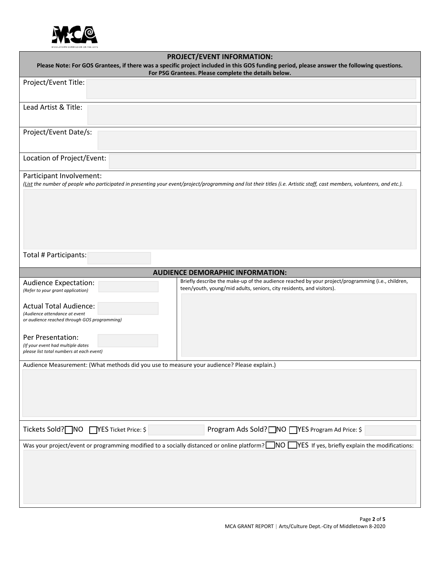

|                                                                                                                                                                                                    | <b>PROJECT/EVENT INFORMATION:</b>                                                                                                                                         |  |  |
|----------------------------------------------------------------------------------------------------------------------------------------------------------------------------------------------------|---------------------------------------------------------------------------------------------------------------------------------------------------------------------------|--|--|
| Please Note: For GOS Grantees, if there was a specific project included in this GOS funding period, please answer the following questions.<br>For PSG Grantees. Please complete the details below. |                                                                                                                                                                           |  |  |
| Project/Event Title:                                                                                                                                                                               |                                                                                                                                                                           |  |  |
|                                                                                                                                                                                                    |                                                                                                                                                                           |  |  |
| Lead Artist & Title:                                                                                                                                                                               |                                                                                                                                                                           |  |  |
|                                                                                                                                                                                                    |                                                                                                                                                                           |  |  |
| Project/Event Date/s:                                                                                                                                                                              |                                                                                                                                                                           |  |  |
|                                                                                                                                                                                                    |                                                                                                                                                                           |  |  |
| Location of Project/Event:                                                                                                                                                                         |                                                                                                                                                                           |  |  |
| Participant Involvement:                                                                                                                                                                           |                                                                                                                                                                           |  |  |
|                                                                                                                                                                                                    | (List the number of people who participated in presenting your event/project/programming and list their titles (i.e. Artistic staff, cast members, volunteers, and etc.). |  |  |
|                                                                                                                                                                                                    |                                                                                                                                                                           |  |  |
|                                                                                                                                                                                                    |                                                                                                                                                                           |  |  |
|                                                                                                                                                                                                    |                                                                                                                                                                           |  |  |
|                                                                                                                                                                                                    |                                                                                                                                                                           |  |  |
|                                                                                                                                                                                                    |                                                                                                                                                                           |  |  |
| Total # Participants:                                                                                                                                                                              |                                                                                                                                                                           |  |  |
|                                                                                                                                                                                                    | <b>AUDIENCE DEMORAPHIC INFORMATION:</b>                                                                                                                                   |  |  |
| <b>Audience Expectation:</b>                                                                                                                                                                       | Briefly describe the make-up of the audience reached by your project/programming (i.e., children,                                                                         |  |  |
| (Refer to your grant application)                                                                                                                                                                  | teen/youth, young/mid adults, seniors, city residents, and visitors).                                                                                                     |  |  |
| <b>Actual Total Audience:</b>                                                                                                                                                                      |                                                                                                                                                                           |  |  |
| (Audience attendance at event<br>or audience reached through GOS programming)                                                                                                                      |                                                                                                                                                                           |  |  |
|                                                                                                                                                                                                    |                                                                                                                                                                           |  |  |
| Per Presentation:<br>(If your event had multiple dates                                                                                                                                             |                                                                                                                                                                           |  |  |
| please list total numbers at each event)                                                                                                                                                           |                                                                                                                                                                           |  |  |
| Audience Measurement: (What methods did you use to measure your audience? Please explain.)                                                                                                         |                                                                                                                                                                           |  |  |
|                                                                                                                                                                                                    |                                                                                                                                                                           |  |  |
|                                                                                                                                                                                                    |                                                                                                                                                                           |  |  |
|                                                                                                                                                                                                    |                                                                                                                                                                           |  |  |
|                                                                                                                                                                                                    |                                                                                                                                                                           |  |  |
| Tickets Sold? NO TYES Ticket Price: \$                                                                                                                                                             | Program Ads Sold? NO   YES Program Ad Price: \$                                                                                                                           |  |  |
| Was your project/event or programming modified to a socially distanced or online platform? $\Box$ NO $\Box$ YES If yes, briefly explain the modifications:                                         |                                                                                                                                                                           |  |  |
|                                                                                                                                                                                                    |                                                                                                                                                                           |  |  |
|                                                                                                                                                                                                    |                                                                                                                                                                           |  |  |
|                                                                                                                                                                                                    |                                                                                                                                                                           |  |  |
|                                                                                                                                                                                                    |                                                                                                                                                                           |  |  |
|                                                                                                                                                                                                    |                                                                                                                                                                           |  |  |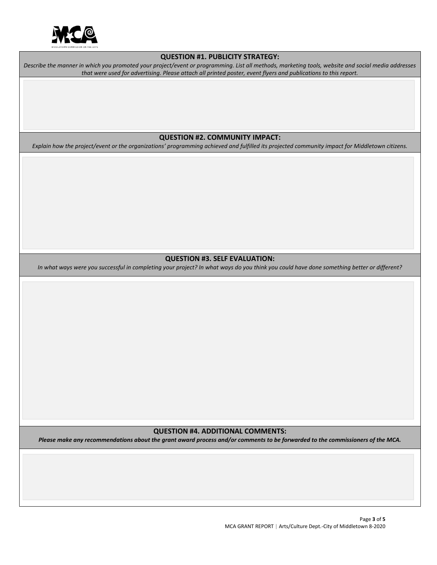

#### **QUESTION #1. PUBLICITY STRATEGY:**

*Describe the manner in which you promoted your project/event or programming. List all methods, marketing tools, website and social media addresses that were used for advertising. Please attach all printed poster, event flyers and publications to this report.*

#### **QUESTION #2. COMMUNITY IMPACT:**

*Explain how the project/event or the organizations' programming achieved and fulfilled its projected community impact for Middletown citizens.*

#### **QUESTION #3. SELF EVALUATION:**

*In what ways were you successful in completing your project? In what ways do you think you could have done something better or different?*

#### **QUESTION #4. ADDITIONAL COMMENTS:**

*Please make any recommendations about the grant award process and/or comments to be forwarded to the commissioners of the MCA.*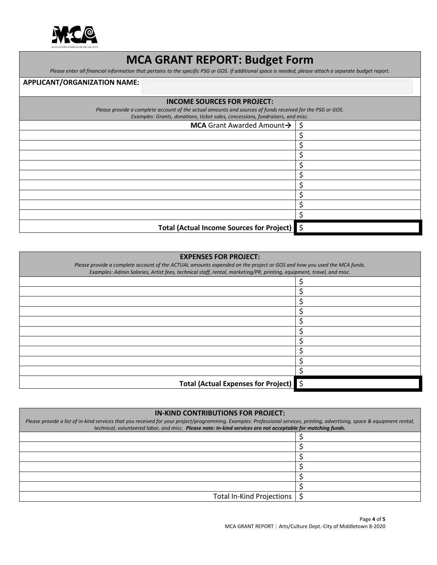

# **MCA GRANT REPORT: Budget Form**

*Please enter all financial information that pertains to the specific PSG or GOS. If additional space is needed, please attach a separate budget report.* 

### **APPLICANT/ORGANIZATION NAME:**

#### **INCOME SOURCES FOR PROJECT:**

*Please provide a complete account of the actual amounts and sources of funds received for the PSG or GOS.*

| Examples: Grants, donations, ticket sales, concessions, fundraisers, and misc. |   |  |
|--------------------------------------------------------------------------------|---|--|
| <b>MCA</b> Grant Awarded Amount $\rightarrow$ $\mid$ \$                        |   |  |
|                                                                                |   |  |
|                                                                                |   |  |
|                                                                                |   |  |
|                                                                                |   |  |
|                                                                                |   |  |
|                                                                                | c |  |
|                                                                                |   |  |
|                                                                                |   |  |
|                                                                                |   |  |
| Total (Actual Income Sources for Project) \$                                   |   |  |

## **EXPENSES FOR PROJECT:**

| Please provide a complete account of the ACTUAL amounts expended on the project or GOS and how you used the MCA funds.<br>Examples: Admin Salaries, Artist fees, technical staff, rental, marketing/PR, printing, equipment, travel, and misc. |  |
|------------------------------------------------------------------------------------------------------------------------------------------------------------------------------------------------------------------------------------------------|--|
|                                                                                                                                                                                                                                                |  |
|                                                                                                                                                                                                                                                |  |
|                                                                                                                                                                                                                                                |  |
|                                                                                                                                                                                                                                                |  |
|                                                                                                                                                                                                                                                |  |
|                                                                                                                                                                                                                                                |  |
|                                                                                                                                                                                                                                                |  |
|                                                                                                                                                                                                                                                |  |
|                                                                                                                                                                                                                                                |  |
|                                                                                                                                                                                                                                                |  |
| Total (Actual Expenses for Project) \$                                                                                                                                                                                                         |  |

| <b>IN-KIND CONTRIBUTIONS FOR PROJECT:</b>                                                                                                                                                                                                                                                   |  |  |
|---------------------------------------------------------------------------------------------------------------------------------------------------------------------------------------------------------------------------------------------------------------------------------------------|--|--|
| Please provide a list of in-kind services that you received for your project/programming. Examples: Professional services, printing, advertising, space & equipment rental,<br>technical, volunteered labor, and misc. Please note: In-kind services are not acceptable for matching funds. |  |  |
|                                                                                                                                                                                                                                                                                             |  |  |
|                                                                                                                                                                                                                                                                                             |  |  |
|                                                                                                                                                                                                                                                                                             |  |  |
|                                                                                                                                                                                                                                                                                             |  |  |
|                                                                                                                                                                                                                                                                                             |  |  |
|                                                                                                                                                                                                                                                                                             |  |  |
| Total In-Kind Projections   \$                                                                                                                                                                                                                                                              |  |  |